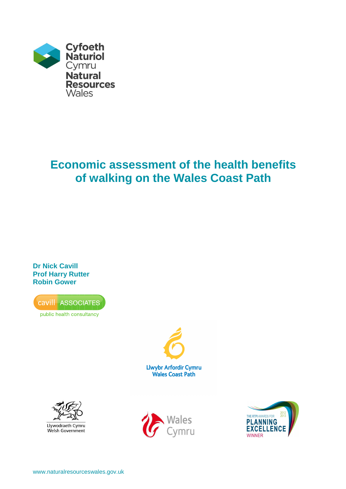

# **Economic assessment of the health benefits of walking on the Wales Coast Path**

**Dr Nick Cavill Prof Harry Rutter Robin Gower** 









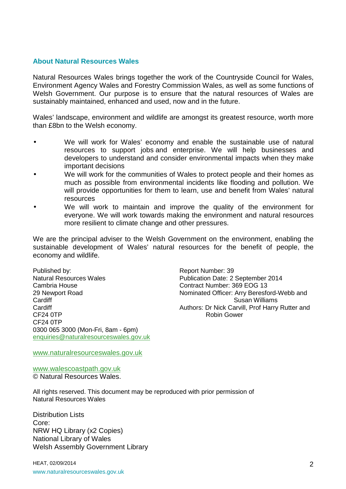### **About Natural Resources Wales**

Natural Resources Wales brings together the work of the Countryside Council for Wales, Environment Agency Wales and Forestry Commission Wales, as well as some functions of Welsh Government. Our purpose is to ensure that the natural resources of Wales are sustainably maintained, enhanced and used, now and in the future.

Wales' landscape, environment and wildlife are amongst its greatest resource, worth more than £8bn to the Welsh economy.

- We will work for Wales' economy and enable the sustainable use of natural resources to support jobs and enterprise. We will help businesses and developers to understand and consider environmental impacts when they make important decisions
- We will work for the communities of Wales to protect people and their homes as much as possible from environmental incidents like flooding and pollution. We will provide opportunities for them to learn, use and benefit from Wales' natural resources
- We will work to maintain and improve the quality of the environment for everyone. We will work towards making the environment and natural resources more resilient to climate change and other pressures.

We are the principal adviser to the Welsh Government on the environment, enabling the sustainable development of Wales' natural resources for the benefit of people, the economy and wildlife.

Published by: <br>
Natural Resources Wales<br>
Natural Resources Wales<br>
Report Number: 39<br>
Publication Date: 2 Cambria House Contract Number: 369 EOG 13 **Cardiff** Susan Williams **Cardiff** Susan Williams **Cardiff** Susan Williams **Cardiff** CF24 0TP Robin Gower CF24 0TP 0300 065 3000 (Mon-Fri, 8am - 6pm) enquiries@naturalresourceswales.gov.uk

Publication Date: 2 September 2014 29 Newport Road Nominated Officer: Arry Beresford-Webb and Cardiff **Cardiff Cardiff Authors: Dr Nick Carvill, Prof Harry Rutter and** 

www.naturalresourceswales.gov.uk

www.walescoastpath.gov.uk

© Natural Resources Wales.

All rights reserved. This document may be reproduced with prior permission of Natural Resources Wales

Distribution Lists Core: NRW HQ Library (x2 Copies) National Library of Wales Welsh Assembly Government Library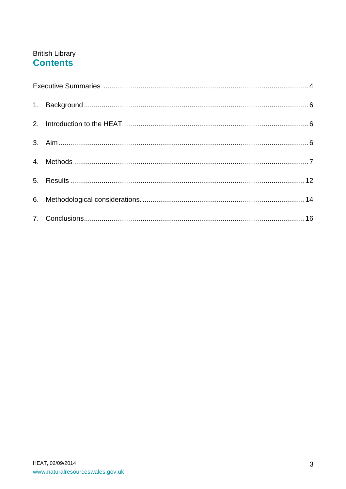## **British Library Contents**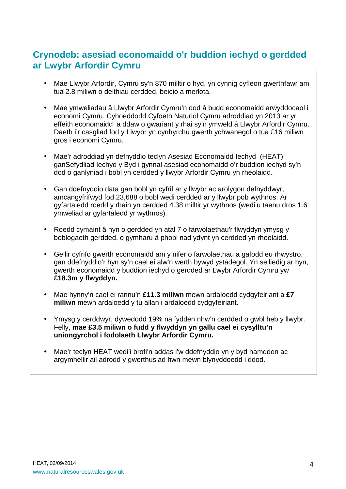## **Crynodeb: asesiad economaidd o'r buddion iechyd o gerdded ar Lwybr Arfordir Cymru**

- Mae Llwybr Arfordir, Cymru sy'n 870 milltir o hyd, yn cynnig cyfleon gwerthfawr am tua 2.8 miliwn o deithiau cerdded, beicio a merlota.
- Mae ymweliadau â Llwybr Arfordir Cymru'n dod â budd economaidd arwyddocaol i economi Cymru. Cyhoeddodd Cyfoeth Naturiol Cymru adroddiad yn 2013 ar yr effeith economaidd a ddaw o gwariant y rhai sy'n ymweld â Llwybr Arfordir Cymru. Daeth i'r casgliad fod y Llwybr yn cynhyrchu gwerth ychwanegol o tua £16 miliwn gros i economi Cymru.
- Mae'r adroddiad yn defnyddio teclyn Asesiad Economaidd Iechyd (HEAT) ganSefydliad Iechyd y Byd i gynnal asesiad economaidd o'r buddion iechyd sy'n dod o ganlyniad i bobl yn cerdded y llwybr Arfordir Cymru yn rheolaidd.
- Gan ddefnyddio data gan bobl yn cyfrif ar y llwybr ac arolygon defnyddwyr, amcangyfrifwyd fod 23,688 o bobl wedi cerdded ar y llwybr pob wythnos. Ar gyfartaledd roedd y rhain yn cerdded 4.38 milltir yr wythnos (wedi'u taenu dros 1.6 ymweliad ar gyfartaledd yr wythnos).
- Roedd cymaint â hyn o gerdded yn atal 7 o farwolaethau'r flwyddyn ymysg y boblogaeth gerdded, o gymharu â phobl nad ydynt yn cerdded yn rheolaidd.
- Gellir cyfrifo gwerth economaidd am y nifer o farwolaethau a gafodd eu rhwystro, gan ddefnyddio'r hyn sy'n cael ei alw'n werth bywyd ystadegol. Yn seiliedig ar hyn, gwerth economaidd y buddion iechyd o gerdded ar Lwybr Arfordir Cymru yw **£18.3m y flwyddyn.**
- Mae hynny'n cael ei rannu'n **£11.3 miliwn** mewn ardaloedd cydgyfeiriant a **£7 miliwn** mewn ardaloedd y tu allan i ardaloedd cydgyfeiriant.
- Ymysg y cerddwyr, dywedodd 19% na fydden nhw'n cerdded o gwbl heb y llwybr. Felly, **mae £3.5 miliwn o fudd y flwyddyn yn gallu cael ei cysylltu'n uniongyrchol i fodolaeth Llwybr Arfordir Cymru.**
- Mae'r teclyn HEAT wedi'i brofi'n addas i'w ddefnyddio yn y byd hamdden ac argymhellir ail adrodd y gwerthusiad hwn mewn blynyddoedd i ddod.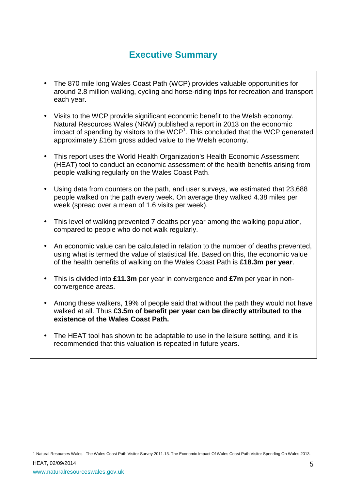# **Executive Summary**

- The 870 mile long Wales Coast Path (WCP) provides valuable opportunities for around 2.8 million walking, cycling and horse-riding trips for recreation and transport each year.
- Visits to the WCP provide significant economic benefit to the Welsh economy. Natural Resources Wales (NRW) published a report in 2013 on the economic impact of spending by visitors to the WCP<sup>1</sup>. This concluded that the WCP generated approximately £16m gross added value to the Welsh economy.
- This report uses the World Health Organization's Health Economic Assessment (HEAT) tool to conduct an economic assessment of the health benefits arising from people walking regularly on the Wales Coast Path.
- Using data from counters on the path, and user surveys, we estimated that 23,688 people walked on the path every week. On average they walked 4.38 miles per week (spread over a mean of 1.6 visits per week).
- This level of walking prevented 7 deaths per year among the walking population, compared to people who do not walk regularly.
- An economic value can be calculated in relation to the number of deaths prevented, using what is termed the value of statistical life. Based on this, the economic value of the health benefits of walking on the Wales Coast Path is **£18.3m per year**.
- This is divided into **£11.3m** per year in convergence and **£7m** per year in nonconvergence areas.
- Among these walkers, 19% of people said that without the path they would not have walked at all. Thus **£3.5m of benefit per year can be directly attributed to the existence of the Wales Coast Path.**
- The HEAT tool has shown to be adaptable to use in the leisure setting, and it is recommended that this valuation is repeated in future years.

**HEAT, 02/09/2014** 5 www.naturalresourceswales.gov.uk

 $\overline{a}$ 

<sup>1</sup> Natural Resources Wales. The Wales Coast Path Visitor Survey 2011-13. The Economic Impact Of Wales Coast Path Visitor Spending On Wales 2013.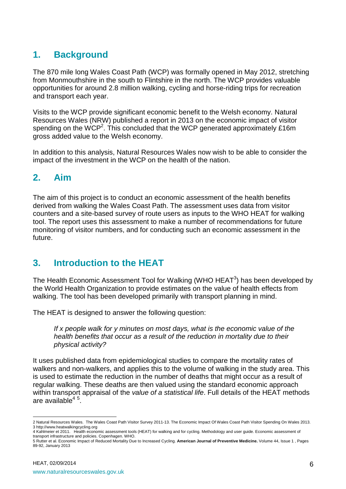# **1. Background**

The 870 mile long Wales Coast Path (WCP) was formally opened in May 2012, stretching from Monmouthshire in the south to Flintshire in the north. The WCP provides valuable opportunities for around 2.8 million walking, cycling and horse-riding trips for recreation and transport each year.

Visits to the WCP provide significant economic benefit to the Welsh economy. Natural Resources Wales (NRW) published a report in 2013 on the economic impact of visitor spending on the WCP<sup>2</sup>. This concluded that the WCP generated approximately £16m gross added value to the Welsh economy.

In addition to this analysis, Natural Resources Wales now wish to be able to consider the impact of the investment in the WCP on the health of the nation.

## **2. Aim**

The aim of this project is to conduct an economic assessment of the health benefits derived from walking the Wales Coast Path. The assessment uses data from visitor counters and a site-based survey of route users as inputs to the WHO HEAT for walking tool. The report uses this assessment to make a number of recommendations for future monitoring of visitor numbers, and for conducting such an economic assessment in the future.

# **3. Introduction to the HEAT**

The Health Economic Assessment Tool for Walking (WHO HEAT $3$ ) has been developed by the World Health Organization to provide estimates on the value of health effects from walking. The tool has been developed primarily with transport planning in mind.

The HEAT is designed to answer the following question:

If x people walk for y minutes on most days, what is the economic value of the health benefits that occur as a result of the reduction in mortality due to their physical activity?

It uses published data from epidemiological studies to compare the mortality rates of walkers and non-walkers, and applies this to the volume of walking in the study area. This is used to estimate the reduction in the number of deaths that might occur as a result of regular walking. These deaths are then valued using the standard economic approach within transport appraisal of the value of a statistical life. Full details of the HEAT methods are available<sup>45</sup>.

 $\overline{a}$ 2 Natural Resources Wales. The Wales Coast Path Visitor Survey 2011-13. The Economic Impact Of Wales Coast Path Visitor Spending On Wales 2013. 3 http://www.heatwalkingcycling.org

<sup>4</sup> Kahlmeier et 2011. Health economic assessment tools (HEAT) for walking and for cycling. Methodology and user guide. Economic assessment of transport infrastructure and policies. Copenhagen. WHO.

<sup>5</sup> Rutter et al. Economic Impact of Reduced Mortality Due to Increased Cycling. **American Journal of Preventive Medicine.** Volume 44, Issue 1 , Pages 89-92, January 2013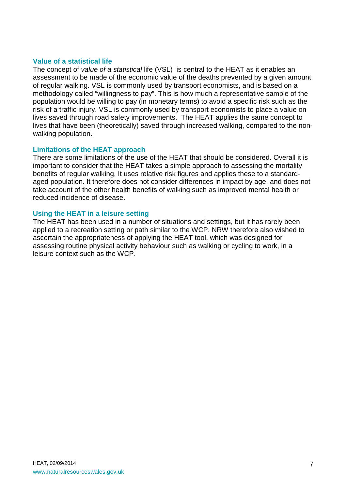### **Value of a statistical life**

The concept of value of a statistical life (VSL) is central to the HEAT as it enables an assessment to be made of the economic value of the deaths prevented by a given amount of regular walking. VSL is commonly used by transport economists, and is based on a methodology called "willingness to pay". This is how much a representative sample of the population would be willing to pay (in monetary terms) to avoid a specific risk such as the risk of a traffic injury. VSL is commonly used by transport economists to place a value on lives saved through road safety improvements. The HEAT applies the same concept to lives that have been (theoretically) saved through increased walking, compared to the nonwalking population.

### **Limitations of the HEAT approach**

There are some limitations of the use of the HEAT that should be considered. Overall it is important to consider that the HEAT takes a simple approach to assessing the mortality benefits of regular walking. It uses relative risk figures and applies these to a standardaged population. It therefore does not consider differences in impact by age, and does not take account of the other health benefits of walking such as improved mental health or reduced incidence of disease.

### **Using the HEAT in a leisure setting**

The HEAT has been used in a number of situations and settings, but it has rarely been applied to a recreation setting or path similar to the WCP. NRW therefore also wished to ascertain the appropriateness of applying the HEAT tool, which was designed for assessing routine physical activity behaviour such as walking or cycling to work, in a leisure context such as the WCP.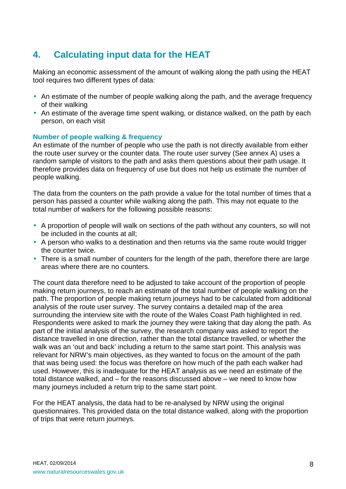# **4. Calculating input data for the HEAT**

Making an economic assessment of the amount of walking along the path using the HEAT tool requires two different types of data:

- An estimate of the number of people walking along the path, and the average frequency of their walking
- An estimate of the average time spent walking, or distance walked, on the path by each person, on each visit

### **Number of people walking & frequency**

An estimate of the number of people who use the path is not directly available from either the route user survey or the counter data. The route user survey (See annex A) uses a random sample of visitors to the path and asks them questions about their path usage. It therefore provides data on frequency of use but does not help us estimate the number of people walking.

The data from the counters on the path provide a value for the total number of times that a person has passed a counter while walking along the path. This may not equate to the total number of walkers for the following possible reasons:

- A proportion of people will walk on sections of the path without any counters, so will not be included in the counts at all;
- A person who walks to a destination and then returns via the same route would trigger the counter twice.
- There is a small number of counters for the length of the path, therefore there are large areas where there are no counters.

The count data therefore need to be adjusted to take account of the proportion of people making return journeys, to reach an estimate of the total number of people walking on the path. The proportion of people making return journeys had to be calculated from additional analysis of the route user survey. The survey contains a detailed map of the area surrounding the interview site with the route of the Wales Coast Path highlighted in red. Respondents were asked to mark the journey they were taking that day along the path. As part of the initial analysis of the survey, the research company was asked to report the distance travelled in one direction, rather than the total distance travelled, or whether the walk was an 'out and back' including a return to the same start point. This analysis was relevant for NRW's main objectives, as they wanted to focus on the amount of the path that was being used: the focus was therefore on how much of the path each walker had used. However, this is inadequate for the HEAT analysis as we need an estimate of the total distance walked, and – for the reasons discussed above – we need to know how many journeys included a return trip to the same start point.

For the HEAT analysis, the data had to be re-analysed by NRW using the original questionnaires. This provided data on the total distance walked, along with the proportion of trips that were return journeys.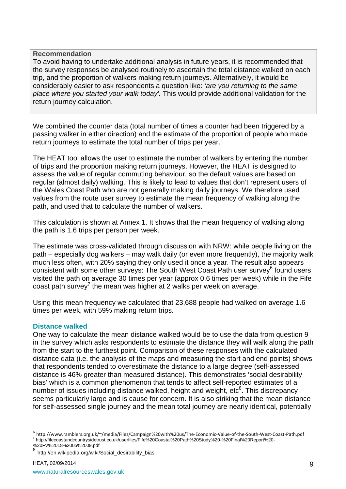### **Recommendation**

To avoid having to undertake additional analysis in future years, it is recommended that the survey responses be analysed routinely to ascertain the total distance walked on each trip, and the proportion of walkers making return journeys. Alternatively, it would be considerably easier to ask respondents a question like: 'are you returning to the same place where you started your walk today'. This would provide additional validation for the return journey calculation.

We combined the counter data (total number of times a counter had been triggered by a passing walker in either direction) and the estimate of the proportion of people who made return journeys to estimate the total number of trips per year.

The HEAT tool allows the user to estimate the number of walkers by entering the number of trips and the proportion making return journeys. However, the HEAT is designed to assess the value of regular commuting behaviour, so the default values are based on regular (almost daily) walking. This is likely to lead to values that don't represent users of the Wales Coast Path who are not generally making daily journeys. We therefore used values from the route user survey to estimate the mean frequency of walking along the path, and used that to calculate the number of walkers.

This calculation is shown at Annex 1. It shows that the mean frequency of walking along the path is 1.6 trips per person per week.

The estimate was cross-validated through discussion with NRW: while people living on the path – especially dog walkers – may walk daily (or even more frequently), the majority walk much less often, with 20% saying they only used it once a year. The result also appears consistent with some other surveys: The South West Coast Path user survey<sup>6</sup> found users visited the path on average 30 times per year (approx 0.6 times per week) while in the Fife coast path survey<sup>7</sup> the mean was higher at 2 walks per week on average.

Using this mean frequency we calculated that 23,688 people had walked on average 1.6 times per week, with 59% making return trips.

#### **Distance walked**

One way to calculate the mean distance walked would be to use the data from question 9 in the survey which asks respondents to estimate the distance they will walk along the path from the start to the furthest point. Comparison of these responses with the calculated distance data (i.e. the analysis of the maps and measuring the start and end points) shows that respondents tended to overestimate the distance to a large degree (self-assessed distance is 46% greater than measured distance). This demonstrates 'social desirability bias' which is a common phenomenon that tends to affect self-reported estimates of a number of issues including distance walked, height and weight, etc ${}^{8}$ . This discrepancy seems particularly large and is cause for concern. It is also striking that the mean distance for self-assessed single journey and the mean total journey are nearly identical, potentially

 $\overline{a}$ 

<sup>6</sup> http://www.ramblers.org.uk/~/media/Files/Campaign%20with%20us/The-Economic-Value-of-the-South-West-Coast-Path.pdf 7 http://fifecoastandcountrysidetrust.co.uk/userfiles/Fife%20Coastal%20Path%20Study%20-%20Final%20Report%20-

<sup>%20</sup>FV%2018%2005%2009.pdf<br><sup>8</sup>\_bttp://an.uil/inadia.arg/uil/i

http://en.wikipedia.org/wiki/Social\_desirability\_bias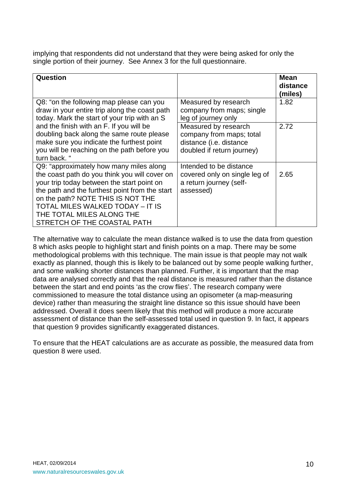implying that respondents did not understand that they were being asked for only the single portion of their journey. See Annex 3 for the full questionnaire.

| Question                                                                                                                                                                                                                                                                                                                      |                                                                                                           | <b>Mean</b><br>distance<br>(miles) |
|-------------------------------------------------------------------------------------------------------------------------------------------------------------------------------------------------------------------------------------------------------------------------------------------------------------------------------|-----------------------------------------------------------------------------------------------------------|------------------------------------|
| Q8: "on the following map please can you<br>draw in your entire trip along the coast path<br>today. Mark the start of your trip with an S                                                                                                                                                                                     | Measured by research<br>company from maps; single<br>leg of journey only                                  | 1.82                               |
| and the finish with an F. If you will be<br>doubling back along the same route please<br>make sure you indicate the furthest point<br>you will be reaching on the path before you<br>turn back. "                                                                                                                             | Measured by research<br>company from maps; total<br>distance (i.e. distance<br>doubled if return journey) | 2.72                               |
| Q9: "approximately how many miles along<br>the coast path do you think you will cover on<br>your trip today between the start point on<br>the path and the furthest point from the start<br>on the path? NOTE THIS IS NOT THE<br>TOTAL MILES WALKED TODAY – IT IS<br>THE TOTAL MILES ALONG THE<br>STRETCH OF THE COASTAL PATH | Intended to be distance<br>covered only on single leg of<br>a return journey (self-<br>assessed)          | 2.65                               |

The alternative way to calculate the mean distance walked is to use the data from question 8 which asks people to highlight start and finish points on a map. There may be some methodological problems with this technique. The main issue is that people may not walk exactly as planned, though this is likely to be balanced out by some people walking further, and some walking shorter distances than planned. Further, it is important that the map data are analysed correctly and that the real distance is measured rather than the distance between the start and end points 'as the crow flies'. The research company were commissioned to measure the total distance using an opisometer (a map-measuring device) rather than measuring the straight line distance so this issue should have been addressed. Overall it does seem likely that this method will produce a more accurate assessment of distance than the self-assessed total used in question 9. In fact, it appears that question 9 provides significantly exaggerated distances.

To ensure that the HEAT calculations are as accurate as possible, the measured data from question 8 were used.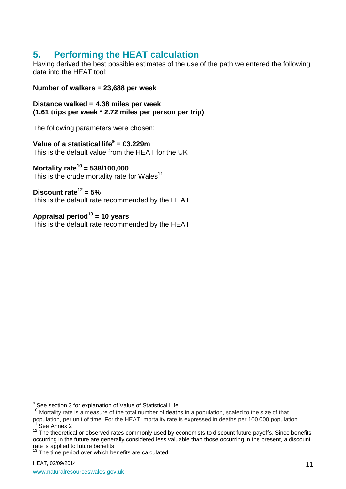# **5. Performing the HEAT calculation**

Having derived the best possible estimates of the use of the path we entered the following data into the HEAT tool:

### **Number of walkers = 23,688 per week**

**Distance walked = 4.38 miles per week (1.61 trips per week \* 2.72 miles per person per trip)** 

The following parameters were chosen:

### **Value of a statistical life<sup>9</sup> = £3.229m**  This is the default value from the HEAT for the UK

### **Mortality rate<sup>10</sup> = 538/100,000**

This is the crude mortality rate for Wales $11$ 

### Discount rate<sup> $12$ </sup> = 5%

This is the default rate recommended by the HEAT

### **Appraisal period<sup>13</sup> = 10 years**

This is the default rate recommended by the HEAT

 9 See section 3 for explanation of Value of Statistical Life

<sup>&</sup>lt;sup>10</sup> Mortality rate is a measure of the total number of deaths in a population, scaled to the size of that

population, per unit of time. For the HEAT, mortality rate is expressed in deaths per 100,000 population.  $11$  See Annex 2

 $12$  The theoretical or observed rates commonly used by economists to discount future payoffs. Since benefits occurring in the future are generally considered less valuable than those occurring in the present, a discount rate is applied to future benefits.

 $13$  The time period over which benefits are calculated.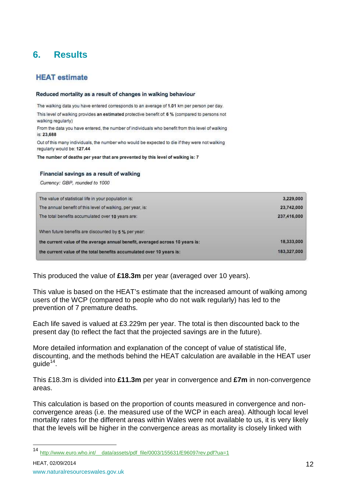# **6. Results**

### **HEAT estimate**

#### Reduced mortality as a result of changes in walking behaviour

The walking data you have entered corresponds to an average of 1.01 km per person per day.

This level of walking provides an estimated protective benefit of: 6 % (compared to persons not walking regularly)

From the data you have entered, the number of individuals who benefit from this level of walking is: 23,688

Out of this many individuals, the number who would be expected to die if they were not walking regularly would be: 127.44

The number of deaths per year that are prevented by this level of walking is: 7

#### Financial savings as a result of walking

Currency: GBP, rounded to 1000

| The value of statistical life in your population is:                          | 3,229,000   |
|-------------------------------------------------------------------------------|-------------|
| The annual benefit of this level of walking, per year, is:                    | 23,742,000  |
| The total benefits accumulated over 10 years are:                             | 237,416,000 |
| When future benefits are discounted by 5 % per year.                          |             |
| the current value of the average annual benefit, averaged across 10 years is: | 18,333,000  |
| the current value of the total benefits accumulated over 10 years is:         | 183,327,000 |

This produced the value of **£18.3m** per year (averaged over 10 years).

This value is based on the HEAT's estimate that the increased amount of walking among users of the WCP (compared to people who do not walk regularly) has led to the prevention of 7 premature deaths.

Each life saved is valued at £3.229m per year. The total is then discounted back to the present day (to reflect the fact that the projected savings are in the future).

More detailed information and explanation of the concept of value of statistical life, discounting, and the methods behind the HEAT calculation are available in the HEAT user guide<sup>14</sup>.

This £18.3m is divided into **£11.3m** per year in convergence and **£7m** in non-convergence areas.

This calculation is based on the proportion of counts measured in convergence and nonconvergence areas (i.e. the measured use of the WCP in each area). Although local level mortality rates for the different areas within Wales were not available to us, it is very likely that the levels will be higher in the convergence areas as mortality is closely linked with

 $HEAT$ , 02/09/2014  $12$ www.naturalresourceswales.gov.uk

 $\overline{a}$ 

http://www.euro.who.int/ data/assets/pdf\_file/0003/155631/E96097rev.pdf?ua=1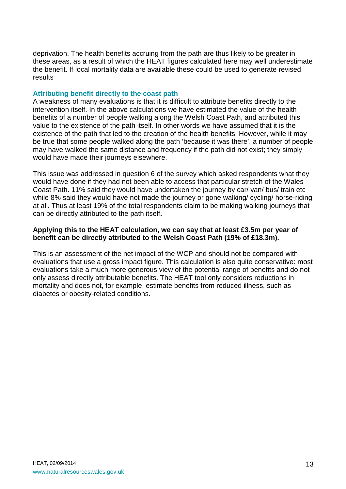deprivation. The health benefits accruing from the path are thus likely to be greater in these areas, as a result of which the HEAT figures calculated here may well underestimate the benefit. If local mortality data are available these could be used to generate revised results

### **Attributing benefit directly to the coast path**

A weakness of many evaluations is that it is difficult to attribute benefits directly to the intervention itself. In the above calculations we have estimated the value of the health benefits of a number of people walking along the Welsh Coast Path, and attributed this value to the existence of the path itself. In other words we have assumed that it is the existence of the path that led to the creation of the health benefits. However, while it may be true that some people walked along the path 'because it was there', a number of people may have walked the same distance and frequency if the path did not exist; they simply would have made their journeys elsewhere.

This issue was addressed in question 6 of the survey which asked respondents what they would have done if they had not been able to access that particular stretch of the Wales Coast Path. 11% said they would have undertaken the journey by car/ van/ bus/ train etc while 8% said they would have not made the journey or gone walking/ cycling/ horse-riding at all. Thus at least 19% of the total respondents claim to be making walking journeys that can be directly attributed to the path itself**.** 

### **Applying this to the HEAT calculation, we can say that at least £3.5m per year of benefit can be directly attributed to the Welsh Coast Path (19% of £18.3m).**

This is an assessment of the net impact of the WCP and should not be compared with evaluations that use a gross impact figure. This calculation is also quite conservative: most evaluations take a much more generous view of the potential range of benefits and do not only assess directly attributable benefits. The HEAT tool only considers reductions in mortality and does not, for example, estimate benefits from reduced illness, such as diabetes or obesity-related conditions.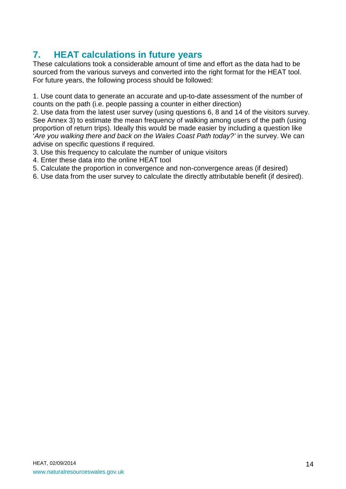# **7. HEAT calculations in future years**

These calculations took a considerable amount of time and effort as the data had to be sourced from the various surveys and converted into the right format for the HEAT tool. For future years, the following process should be followed:

1. Use count data to generate an accurate and up-to-date assessment of the number of counts on the path (i.e. people passing a counter in either direction)

2. Use data from the latest user survey (using questions 6, 8 and 14 of the visitors survey. See Annex 3) to estimate the mean frequency of walking among users of the path (using proportion of return trips). Ideally this would be made easier by including a question like 'Are you walking there and back on the Wales Coast Path today?' in the survey. We can advise on specific questions if required.

- 3. Use this frequency to calculate the number of unique visitors
- 4. Enter these data into the online HEAT tool
- 5. Calculate the proportion in convergence and non-convergence areas (if desired)
- 6. Use data from the user survey to calculate the directly attributable benefit (if desired).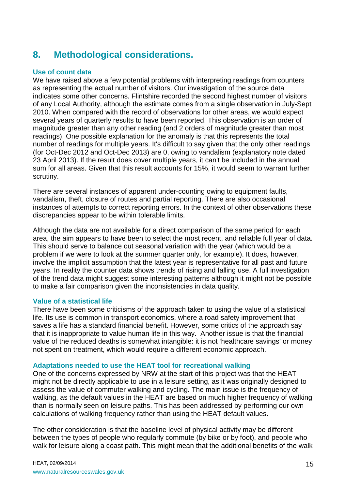# **8. Methodological considerations.**

### **Use of count data**

We have raised above a few potential problems with interpreting readings from counters as representing the actual number of visitors. Our investigation of the source data indicates some other concerns. Flintshire recorded the second highest number of visitors of any Local Authority, although the estimate comes from a single observation in July-Sept 2010. When compared with the record of observations for other areas, we would expect several years of quarterly results to have been reported. This observation is an order of magnitude greater than any other reading (and 2 orders of magnitude greater than most readings). One possible explanation for the anomaly is that this represents the total number of readings for multiple years. It's difficult to say given that the only other readings (for Oct-Dec 2012 and Oct-Dec 2013) are 0, owing to vandalism (explanatory note dated 23 April 2013). If the result does cover multiple years, it can't be included in the annual sum for all areas. Given that this result accounts for 15%, it would seem to warrant further scrutiny.

There are several instances of apparent under-counting owing to equipment faults, vandalism, theft, closure of routes and partial reporting. There are also occasional instances of attempts to correct reporting errors. In the context of other observations these discrepancies appear to be within tolerable limits.

Although the data are not available for a direct comparison of the same period for each area, the aim appears to have been to select the most recent, and reliable full year of data. This should serve to balance out seasonal variation with the year (which would be a problem if we were to look at the summer quarter only, for example). It does, however, involve the implicit assumption that the latest year is representative for all past and future years. In reality the counter data shows trends of rising and falling use. A full investigation of the trend data might suggest some interesting patterns although it might not be possible to make a fair comparison given the inconsistencies in data quality.

#### **Value of a statistical life**

There have been some criticisms of the approach taken to using the value of a statistical life. Its use is common in transport economics, where a road safety improvement that saves a life has a standard financial benefit. However, some critics of the approach say that it is inappropriate to value human life in this way. Another issue is that the financial value of the reduced deaths is somewhat intangible: it is not 'healthcare savings' or money not spent on treatment, which would require a different economic approach.

#### **Adaptations needed to use the HEAT tool for recreational walking**

One of the concerns expressed by NRW at the start of this project was that the HEAT might not be directly applicable to use in a leisure setting, as it was originally designed to assess the value of commuter walking and cycling. The main issue is the frequency of walking, as the default values in the HEAT are based on much higher frequency of walking than is normally seen on leisure paths. This has been addressed by performing our own calculations of walking frequency rather than using the HEAT default values.

The other consideration is that the baseline level of physical activity may be different between the types of people who regularly commute (by bike or by foot), and people who walk for leisure along a coast path. This might mean that the additional benefits of the walk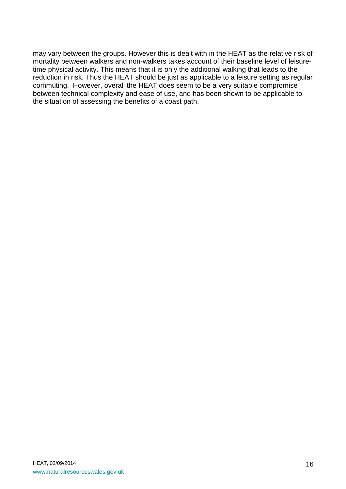may vary between the groups. However this is dealt with in the HEAT as the relative risk of mortality between walkers and non-walkers takes account of their baseline level of leisuretime physical activity. This means that it is only the additional walking that leads to the reduction in risk. Thus the HEAT should be just as applicable to a leisure setting as regular commuting. However, overall the HEAT does seem to be a very suitable compromise between technical complexity and ease of use, and has been shown to be applicable to the situation of assessing the benefits of a coast path.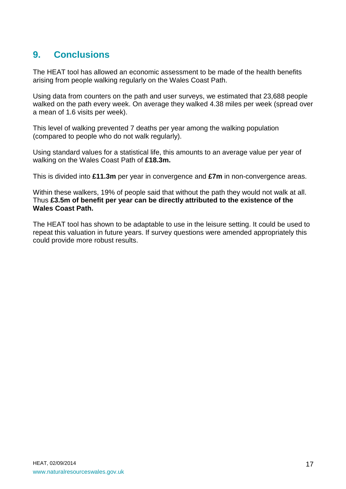# **9. Conclusions**

The HEAT tool has allowed an economic assessment to be made of the health benefits arising from people walking regularly on the Wales Coast Path.

Using data from counters on the path and user surveys, we estimated that 23,688 people walked on the path every week. On average they walked 4.38 miles per week (spread over a mean of 1.6 visits per week).

This level of walking prevented 7 deaths per year among the walking population (compared to people who do not walk regularly).

Using standard values for a statistical life, this amounts to an average value per year of walking on the Wales Coast Path of **£18.3m.** 

This is divided into **£11.3m** per year in convergence and **£7m** in non-convergence areas.

Within these walkers, 19% of people said that without the path they would not walk at all. Thus **£3.5m of benefit per year can be directly attributed to the existence of the Wales Coast Path.**

The HEAT tool has shown to be adaptable to use in the leisure setting. It could be used to repeat this valuation in future years. If survey questions were amended appropriately this could provide more robust results.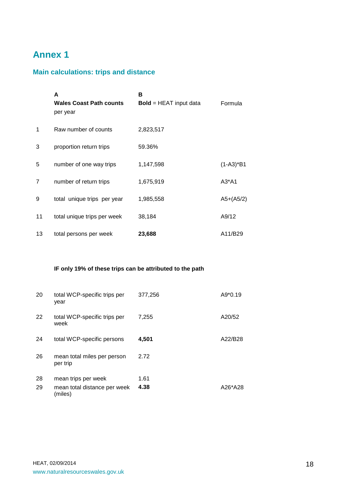# **Annex 1**

## **Main calculations: trips and distance**

|                | A<br><b>Wales Coast Path counts</b><br>per year | в<br><b>Bold</b> = HEAT input data | Formula        |
|----------------|-------------------------------------------------|------------------------------------|----------------|
| 1              | Raw number of counts                            | 2,823,517                          |                |
| 3              | proportion return trips                         | 59.36%                             |                |
| 5              | number of one way trips                         | 1,147,598                          | $(1 - A3)^*B1$ |
| $\overline{7}$ | number of return trips                          | 1,675,919                          | $A3*A1$        |
| 9              | total unique trips per year                     | 1,985,558                          | $A5+(A5/2)$    |
| 11             | total unique trips per week                     | 38,184                             | A9/12          |
| 13             | total persons per week                          | 23,688                             | A11/B29        |

### **IF only 19% of these trips can be attributed to the path**

| 20 | total WCP-specific trips per<br>year    | 377,256 | $A9*0.19$ |
|----|-----------------------------------------|---------|-----------|
| 22 | total WCP-specific trips per<br>week    | 7,255   | A20/52    |
| 24 | total WCP-specific persons              | 4,501   | A22/B28   |
| 26 | mean total miles per person<br>per trip | 2.72    |           |
| 28 | mean trips per week                     | 1.61    |           |
| 29 | mean total distance per week<br>(miles) | 4.38    | A26*A28   |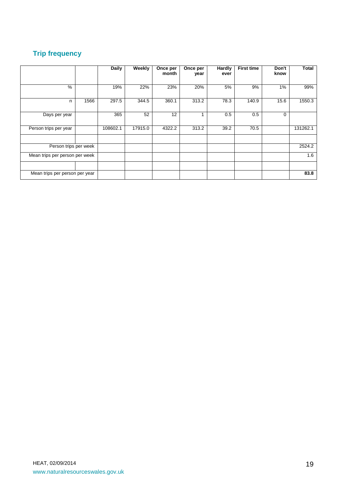## **Trip frequency**

|                                |      | <b>Daily</b> | Weekly  | Once per<br>month | Once per<br>year | Hardly<br>ever | <b>First time</b> | Don't<br>know | <b>Total</b> |
|--------------------------------|------|--------------|---------|-------------------|------------------|----------------|-------------------|---------------|--------------|
| %                              |      | 19%          | 22%     | 23%               | 20%              | 5%             | 9%                | 1%            | 99%          |
| n                              | 1566 | 297.5        | 344.5   | 360.1             | 313.2            | 78.3           | 140.9             | 15.6          | 1550.3       |
| Days per year                  |      | 365          | 52      | 12                |                  | 0.5            | 0.5               | $\Omega$      |              |
| Person trips per year          |      | 108602.1     | 17915.0 | 4322.2            | 313.2            | 39.2           | 70.5              |               | 131262.1     |
|                                |      |              |         |                   |                  |                |                   |               |              |
| Person trips per week          |      |              |         |                   |                  |                |                   |               | 2524.2       |
| Mean trips per person per week |      |              |         |                   |                  |                |                   |               | 1.6          |
|                                |      |              |         |                   |                  |                |                   |               |              |
| Mean trips per person per year |      |              |         |                   |                  |                |                   |               | 83.8         |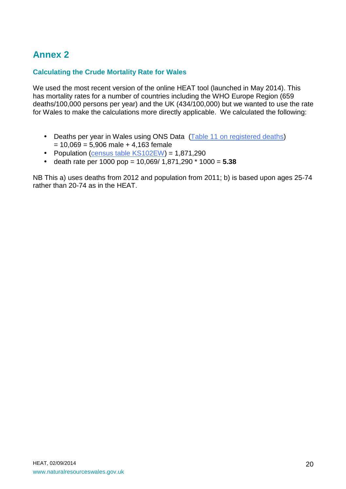# **Annex 2**

### **Calculating the Crude Mortality Rate for Wales**

We used the most recent version of the online HEAT tool (launched in May 2014). This has mortality rates for a number of countries including the WHO Europe Region (659 deaths/100,000 persons per year) and the UK (434/100,000) but we wanted to use the rate for Wales to make the calculations more directly applicable. We calculated the following:

- Deaths per year in Wales using ONS Data (Table 11 on registered deaths)  $= 10,069 = 5,906$  male + 4,163 female
- Population (census table KS102EW) = 1,871,290
- $\bullet$  death rate per 1000 pop = 10,069/ 1,871,290  $*$  1000 = **5.38**

NB This a) uses deaths from 2012 and population from 2011; b) is based upon ages 25-74 rather than 20-74 as in the HEAT.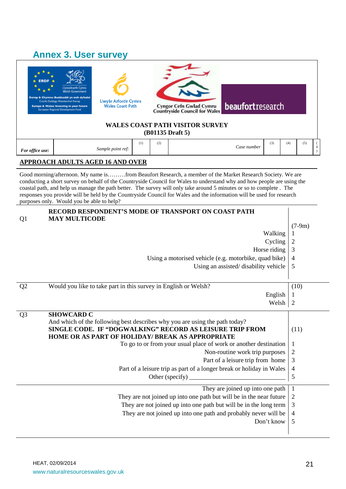# **Annex 3. User survey**

| <b>ERDE</b>     | Llywodraeth Cymru<br><b>Welsh Government</b><br>Ewrop & Chymru: Buddsoddi yn eich dyfedol<br>Cronfa Dathlygu Rhanbarthol Ewrop<br><b>Europe &amp; Wales: Investing in your future</b><br><b>European Regional Development Fund</b> | Llwybr Arfordir Cymru<br><b>Wales Coast Path</b> |     |     | <b>Cyngor Cefn Gwlad Cymru<br/>Countryside Council for Wales</b><br><b>WALES COAST PATH VISITOR SURVEY</b><br>(B01135 Draft 5) | beaufortresearch |     |     |     |   |
|-----------------|------------------------------------------------------------------------------------------------------------------------------------------------------------------------------------------------------------------------------------|--------------------------------------------------|-----|-----|--------------------------------------------------------------------------------------------------------------------------------|------------------|-----|-----|-----|---|
| For office use: |                                                                                                                                                                                                                                    | Sample point ref:                                | (1) | (2) |                                                                                                                                | Case number      | (3) | (4) | (5) | 6 |

### **APPROACH ADULTS AGED 16 AND OVER**

Good morning/afternoon. My name is………from Beaufort Research, a member of the Market Research Society. We are conducting a short survey on behalf of the Countryside Council for Wales to understand why and how people are using the coastal path, and help us manage the path better. The survey will only take around 5 minutes or so to complete . The responses you provide will be held by the Countryside Council for Wales and the information will be used for research purposes only. Would you be able to help?

| Q <sub>1</sub> | RECORD RESPONDENT'S MODE OF TRANSPORT ON COAST PATH<br><b>MAY MULTICODE</b>                                                                                                                                                                                                                                                                                                                                                        |                                                    |
|----------------|------------------------------------------------------------------------------------------------------------------------------------------------------------------------------------------------------------------------------------------------------------------------------------------------------------------------------------------------------------------------------------------------------------------------------------|----------------------------------------------------|
|                |                                                                                                                                                                                                                                                                                                                                                                                                                                    | $(7-9m)$                                           |
|                | Walking                                                                                                                                                                                                                                                                                                                                                                                                                            |                                                    |
|                | Cycling                                                                                                                                                                                                                                                                                                                                                                                                                            | 2                                                  |
|                | Horse riding                                                                                                                                                                                                                                                                                                                                                                                                                       | 3                                                  |
|                | Using a motorised vehicle (e.g. motorbike, quad bike)                                                                                                                                                                                                                                                                                                                                                                              | $\overline{4}$                                     |
|                | Using an assisted/disability vehicle                                                                                                                                                                                                                                                                                                                                                                                               | 5                                                  |
|                |                                                                                                                                                                                                                                                                                                                                                                                                                                    |                                                    |
| Q <sub>2</sub> | Would you like to take part in this survey in English or Welsh?                                                                                                                                                                                                                                                                                                                                                                    | (10)                                               |
|                | English                                                                                                                                                                                                                                                                                                                                                                                                                            | $\perp$                                            |
|                | Welsh                                                                                                                                                                                                                                                                                                                                                                                                                              | $\overline{2}$                                     |
| Q <sub>3</sub> | <b>SHOWCARD C</b><br>And which of the following best describes why you are using the path today?<br>SINGLE CODE. IF "DOGWALKING" RECORD AS LEISURE TRIP FROM<br>HOME OR AS PART OF HOLIDAY/ BREAK AS APPROPRIATE<br>To go to or from your usual place of work or another destination<br>Non-routine work trip purposes<br>Part of a leisure trip from home<br>Part of a leisure trip as part of a longer break or holiday in Wales | (11)<br>1<br>$\overline{2}$<br>3<br>$\overline{4}$ |
|                |                                                                                                                                                                                                                                                                                                                                                                                                                                    | 5                                                  |
|                | They are joined up into one path                                                                                                                                                                                                                                                                                                                                                                                                   | $\mathbf{1}$                                       |
|                | They are not joined up into one path but will be in the near future                                                                                                                                                                                                                                                                                                                                                                | $\overline{2}$                                     |
|                | They are not joined up into one path but will be in the long term                                                                                                                                                                                                                                                                                                                                                                  | 3                                                  |
|                | They are not joined up into one path and probably never will be                                                                                                                                                                                                                                                                                                                                                                    | $\overline{4}$                                     |
|                | Don't know                                                                                                                                                                                                                                                                                                                                                                                                                         | 5                                                  |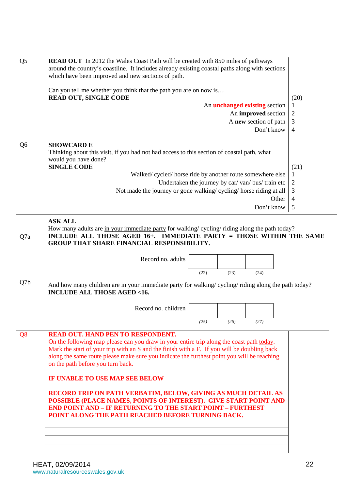| Q <sub>5</sub> | <b>READ OUT</b> In 2012 the Wales Coast Path will be created with 850 miles of pathways<br>around the country's coastline. It includes already existing coastal paths along with sections<br>which have been improved and new sections of path. |                |
|----------------|-------------------------------------------------------------------------------------------------------------------------------------------------------------------------------------------------------------------------------------------------|----------------|
|                | Can you tell me whether you think that the path you are on now is                                                                                                                                                                               |                |
|                | <b>READ OUT, SINGLE CODE</b>                                                                                                                                                                                                                    | (20)           |
|                | An <b>unchanged existing</b> section                                                                                                                                                                                                            |                |
|                | An <b>improved</b> section                                                                                                                                                                                                                      | 2              |
|                | A new section of path                                                                                                                                                                                                                           | 3              |
|                | Don't know                                                                                                                                                                                                                                      | $\overline{4}$ |
|                |                                                                                                                                                                                                                                                 |                |
| Q <sub>6</sub> | <b>SHOWCARD E</b>                                                                                                                                                                                                                               |                |
|                | Thinking about this visit, if you had not had access to this section of coastal path, what<br>would you have done?                                                                                                                              |                |
|                | <b>SINGLE CODE</b>                                                                                                                                                                                                                              | (21)           |
|                | Walked/cycled/horse ride by another route somewhere else                                                                                                                                                                                        | 1              |
|                | Undertaken the journey by car/van/bus/train etc                                                                                                                                                                                                 | $\overline{2}$ |
|                | Not made the journey or gone walking/cycling/horse riding at all                                                                                                                                                                                | 3              |
|                | Other                                                                                                                                                                                                                                           | $\overline{4}$ |
|                | Don't know                                                                                                                                                                                                                                      | 5              |

#### **ASK ALL**

Q7a How many adults are in your immediate party for walking/ cycling/ riding along the path today? **INCLUDE ALL THOSE AGED 16+. IMMEDIATE PARTY = THOSE WITHIN THE SAME GROUP THAT SHARE FINANCIAL RESPONSIBILITY.** 

Record no. adults



Q7b And how many children are in your immediate party for walking/ cycling/ riding along the path today? **INCLUDE ALL THOSE AGED <16.** 



#### Q8 **READ OUT. HAND PEN TO RESPONDENT.**

On the following map please can you draw in your entire trip along the coast path today. Mark the start of your trip with an S and the finish with a F. If you will be doubling back along the same route please make sure you indicate the furthest point you will be reaching on the path before you turn back.

#### **IF UNABLE TO USE MAP SEE BELOW**

**RECORD TRIP ON PATH VERBATIM, BELOW, GIVING AS MUCH DETAIL AS POSSIBLE (PLACE NAMES, POINTS OF INTEREST). GIVE START POINT AND END POINT AND – IF RETURNING TO THE START POINT – FURTHEST POINT ALONG THE PATH REACHED BEFORE TURNING BACK.**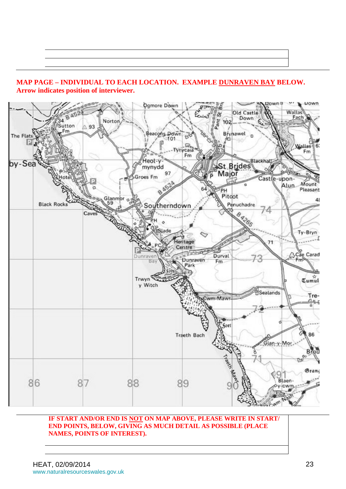### **MAP PAGE – INDIVIDUAL TO EACH LOCATION. EXAMPLE DUNRAVEN BAY BELOW. Arrow indicates position of interviewer.**



#### **IF START AND/OR END IS NOT ON MAP ABOVE, PLEASE WRITE IN START/ END POINTS, BELOW, GIVING AS MUCH DETAIL AS POSSIBLE (PLACE NAMES, POINTS OF INTEREST).**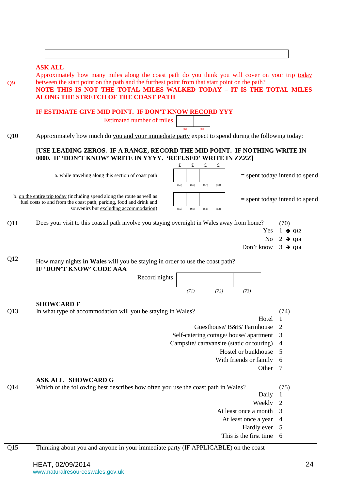| Approximately how many miles along the coast path do you think you will cover on your trip today<br>between the start point on the path and the furthest point from that start point on the path?<br>Q <sub>9</sub><br>NOTE THIS IS NOT THE TOTAL MILES WALKED TODAY - IT IS THE TOTAL MILES<br>ALONG THE STRETCH OF THE COAST PATH<br>IF ESTIMATE GIVE MID POINT. IF DON'T KNOW RECORD YYY<br>Estimated number of miles<br>(23)<br>Q10<br>Approximately how much do you and your immediate party expect to spend during the following today:<br>[USE LEADING ZEROS. IF A RANGE, RECORD THE MID POINT. IF NOTHING WRITE IN<br>0000. IF 'DON'T KNOW' WRITE IN YYYY. 'REFUSED' WRITE IN ZZZZ]<br>£<br>a. while traveling along this section of coast path<br>$=$ spent today/ intend to spend<br>(55)<br>(56)<br>(57)<br>(58)<br>b. on the entire trip today (including spend along the route as well as<br>$=$ spent today/ intend to spend<br>fuel costs to and from the coast path, parking, food and drink and<br>souvenirs but excluding accommodation)<br>(60)<br>(61)<br>(62)<br>(59)<br>Does your visit to this coastal path involve you staying overnight in Wales away from home?<br>Q11<br>(70)<br>Yes<br>$1 \rightarrow Q12$<br>N <sub>o</sub><br>$2 \rightarrow Q14$<br>Don't know<br>Q12<br>How many nights in Wales will you be staying in order to use the coast path?<br>IF 'DON'T KNOW' CODE AAA<br>Record nights<br>(71)<br>(72)<br>(73)<br><b>SHOWCARD F</b><br>In what type of accommodation will you be staying in Wales?<br>Q13<br>(74)<br>Hotel<br>$\perp$<br>Guesthouse/ B&B/ Farmhouse<br>$\overline{c}$<br>Self-catering cottage/house/apartment<br>3<br>Campsite/caravansite (static or touring)<br>4<br>Hostel or bunkhouse<br>5<br>With friends or family<br>6<br>Other<br>7<br><b>ASK ALL SHOWCARD G</b><br>Q14<br>Which of the following best describes how often you use the coast path in Wales?<br>(75)<br>Daily<br>1<br>Weekly<br>2<br>At least once a month<br>3<br>At least once a year<br>4<br>Hardly ever<br>5<br>This is the first time<br>6 |     | <b>ASK ALL</b>                                                                     |                     |
|-------------------------------------------------------------------------------------------------------------------------------------------------------------------------------------------------------------------------------------------------------------------------------------------------------------------------------------------------------------------------------------------------------------------------------------------------------------------------------------------------------------------------------------------------------------------------------------------------------------------------------------------------------------------------------------------------------------------------------------------------------------------------------------------------------------------------------------------------------------------------------------------------------------------------------------------------------------------------------------------------------------------------------------------------------------------------------------------------------------------------------------------------------------------------------------------------------------------------------------------------------------------------------------------------------------------------------------------------------------------------------------------------------------------------------------------------------------------------------------------------------------------------------------------------------------------------------------------------------------------------------------------------------------------------------------------------------------------------------------------------------------------------------------------------------------------------------------------------------------------------------------------------------------------------------------------------------------------------------------------------------------------------------------------------------------------------------------|-----|------------------------------------------------------------------------------------|---------------------|
|                                                                                                                                                                                                                                                                                                                                                                                                                                                                                                                                                                                                                                                                                                                                                                                                                                                                                                                                                                                                                                                                                                                                                                                                                                                                                                                                                                                                                                                                                                                                                                                                                                                                                                                                                                                                                                                                                                                                                                                                                                                                                     |     |                                                                                    |                     |
|                                                                                                                                                                                                                                                                                                                                                                                                                                                                                                                                                                                                                                                                                                                                                                                                                                                                                                                                                                                                                                                                                                                                                                                                                                                                                                                                                                                                                                                                                                                                                                                                                                                                                                                                                                                                                                                                                                                                                                                                                                                                                     |     |                                                                                    |                     |
|                                                                                                                                                                                                                                                                                                                                                                                                                                                                                                                                                                                                                                                                                                                                                                                                                                                                                                                                                                                                                                                                                                                                                                                                                                                                                                                                                                                                                                                                                                                                                                                                                                                                                                                                                                                                                                                                                                                                                                                                                                                                                     |     |                                                                                    |                     |
|                                                                                                                                                                                                                                                                                                                                                                                                                                                                                                                                                                                                                                                                                                                                                                                                                                                                                                                                                                                                                                                                                                                                                                                                                                                                                                                                                                                                                                                                                                                                                                                                                                                                                                                                                                                                                                                                                                                                                                                                                                                                                     |     |                                                                                    |                     |
|                                                                                                                                                                                                                                                                                                                                                                                                                                                                                                                                                                                                                                                                                                                                                                                                                                                                                                                                                                                                                                                                                                                                                                                                                                                                                                                                                                                                                                                                                                                                                                                                                                                                                                                                                                                                                                                                                                                                                                                                                                                                                     |     |                                                                                    |                     |
|                                                                                                                                                                                                                                                                                                                                                                                                                                                                                                                                                                                                                                                                                                                                                                                                                                                                                                                                                                                                                                                                                                                                                                                                                                                                                                                                                                                                                                                                                                                                                                                                                                                                                                                                                                                                                                                                                                                                                                                                                                                                                     |     |                                                                                    |                     |
|                                                                                                                                                                                                                                                                                                                                                                                                                                                                                                                                                                                                                                                                                                                                                                                                                                                                                                                                                                                                                                                                                                                                                                                                                                                                                                                                                                                                                                                                                                                                                                                                                                                                                                                                                                                                                                                                                                                                                                                                                                                                                     |     |                                                                                    |                     |
|                                                                                                                                                                                                                                                                                                                                                                                                                                                                                                                                                                                                                                                                                                                                                                                                                                                                                                                                                                                                                                                                                                                                                                                                                                                                                                                                                                                                                                                                                                                                                                                                                                                                                                                                                                                                                                                                                                                                                                                                                                                                                     |     |                                                                                    |                     |
|                                                                                                                                                                                                                                                                                                                                                                                                                                                                                                                                                                                                                                                                                                                                                                                                                                                                                                                                                                                                                                                                                                                                                                                                                                                                                                                                                                                                                                                                                                                                                                                                                                                                                                                                                                                                                                                                                                                                                                                                                                                                                     |     |                                                                                    |                     |
|                                                                                                                                                                                                                                                                                                                                                                                                                                                                                                                                                                                                                                                                                                                                                                                                                                                                                                                                                                                                                                                                                                                                                                                                                                                                                                                                                                                                                                                                                                                                                                                                                                                                                                                                                                                                                                                                                                                                                                                                                                                                                     |     |                                                                                    |                     |
|                                                                                                                                                                                                                                                                                                                                                                                                                                                                                                                                                                                                                                                                                                                                                                                                                                                                                                                                                                                                                                                                                                                                                                                                                                                                                                                                                                                                                                                                                                                                                                                                                                                                                                                                                                                                                                                                                                                                                                                                                                                                                     |     |                                                                                    |                     |
|                                                                                                                                                                                                                                                                                                                                                                                                                                                                                                                                                                                                                                                                                                                                                                                                                                                                                                                                                                                                                                                                                                                                                                                                                                                                                                                                                                                                                                                                                                                                                                                                                                                                                                                                                                                                                                                                                                                                                                                                                                                                                     |     |                                                                                    |                     |
|                                                                                                                                                                                                                                                                                                                                                                                                                                                                                                                                                                                                                                                                                                                                                                                                                                                                                                                                                                                                                                                                                                                                                                                                                                                                                                                                                                                                                                                                                                                                                                                                                                                                                                                                                                                                                                                                                                                                                                                                                                                                                     |     |                                                                                    |                     |
|                                                                                                                                                                                                                                                                                                                                                                                                                                                                                                                                                                                                                                                                                                                                                                                                                                                                                                                                                                                                                                                                                                                                                                                                                                                                                                                                                                                                                                                                                                                                                                                                                                                                                                                                                                                                                                                                                                                                                                                                                                                                                     |     |                                                                                    |                     |
|                                                                                                                                                                                                                                                                                                                                                                                                                                                                                                                                                                                                                                                                                                                                                                                                                                                                                                                                                                                                                                                                                                                                                                                                                                                                                                                                                                                                                                                                                                                                                                                                                                                                                                                                                                                                                                                                                                                                                                                                                                                                                     |     |                                                                                    | $3 \rightarrow Q14$ |
|                                                                                                                                                                                                                                                                                                                                                                                                                                                                                                                                                                                                                                                                                                                                                                                                                                                                                                                                                                                                                                                                                                                                                                                                                                                                                                                                                                                                                                                                                                                                                                                                                                                                                                                                                                                                                                                                                                                                                                                                                                                                                     |     |                                                                                    |                     |
|                                                                                                                                                                                                                                                                                                                                                                                                                                                                                                                                                                                                                                                                                                                                                                                                                                                                                                                                                                                                                                                                                                                                                                                                                                                                                                                                                                                                                                                                                                                                                                                                                                                                                                                                                                                                                                                                                                                                                                                                                                                                                     |     |                                                                                    |                     |
|                                                                                                                                                                                                                                                                                                                                                                                                                                                                                                                                                                                                                                                                                                                                                                                                                                                                                                                                                                                                                                                                                                                                                                                                                                                                                                                                                                                                                                                                                                                                                                                                                                                                                                                                                                                                                                                                                                                                                                                                                                                                                     |     |                                                                                    |                     |
|                                                                                                                                                                                                                                                                                                                                                                                                                                                                                                                                                                                                                                                                                                                                                                                                                                                                                                                                                                                                                                                                                                                                                                                                                                                                                                                                                                                                                                                                                                                                                                                                                                                                                                                                                                                                                                                                                                                                                                                                                                                                                     |     |                                                                                    |                     |
|                                                                                                                                                                                                                                                                                                                                                                                                                                                                                                                                                                                                                                                                                                                                                                                                                                                                                                                                                                                                                                                                                                                                                                                                                                                                                                                                                                                                                                                                                                                                                                                                                                                                                                                                                                                                                                                                                                                                                                                                                                                                                     |     |                                                                                    |                     |
|                                                                                                                                                                                                                                                                                                                                                                                                                                                                                                                                                                                                                                                                                                                                                                                                                                                                                                                                                                                                                                                                                                                                                                                                                                                                                                                                                                                                                                                                                                                                                                                                                                                                                                                                                                                                                                                                                                                                                                                                                                                                                     |     |                                                                                    |                     |
|                                                                                                                                                                                                                                                                                                                                                                                                                                                                                                                                                                                                                                                                                                                                                                                                                                                                                                                                                                                                                                                                                                                                                                                                                                                                                                                                                                                                                                                                                                                                                                                                                                                                                                                                                                                                                                                                                                                                                                                                                                                                                     |     |                                                                                    |                     |
|                                                                                                                                                                                                                                                                                                                                                                                                                                                                                                                                                                                                                                                                                                                                                                                                                                                                                                                                                                                                                                                                                                                                                                                                                                                                                                                                                                                                                                                                                                                                                                                                                                                                                                                                                                                                                                                                                                                                                                                                                                                                                     |     |                                                                                    |                     |
|                                                                                                                                                                                                                                                                                                                                                                                                                                                                                                                                                                                                                                                                                                                                                                                                                                                                                                                                                                                                                                                                                                                                                                                                                                                                                                                                                                                                                                                                                                                                                                                                                                                                                                                                                                                                                                                                                                                                                                                                                                                                                     |     |                                                                                    |                     |
|                                                                                                                                                                                                                                                                                                                                                                                                                                                                                                                                                                                                                                                                                                                                                                                                                                                                                                                                                                                                                                                                                                                                                                                                                                                                                                                                                                                                                                                                                                                                                                                                                                                                                                                                                                                                                                                                                                                                                                                                                                                                                     |     |                                                                                    |                     |
|                                                                                                                                                                                                                                                                                                                                                                                                                                                                                                                                                                                                                                                                                                                                                                                                                                                                                                                                                                                                                                                                                                                                                                                                                                                                                                                                                                                                                                                                                                                                                                                                                                                                                                                                                                                                                                                                                                                                                                                                                                                                                     |     |                                                                                    |                     |
|                                                                                                                                                                                                                                                                                                                                                                                                                                                                                                                                                                                                                                                                                                                                                                                                                                                                                                                                                                                                                                                                                                                                                                                                                                                                                                                                                                                                                                                                                                                                                                                                                                                                                                                                                                                                                                                                                                                                                                                                                                                                                     |     |                                                                                    |                     |
|                                                                                                                                                                                                                                                                                                                                                                                                                                                                                                                                                                                                                                                                                                                                                                                                                                                                                                                                                                                                                                                                                                                                                                                                                                                                                                                                                                                                                                                                                                                                                                                                                                                                                                                                                                                                                                                                                                                                                                                                                                                                                     |     |                                                                                    |                     |
|                                                                                                                                                                                                                                                                                                                                                                                                                                                                                                                                                                                                                                                                                                                                                                                                                                                                                                                                                                                                                                                                                                                                                                                                                                                                                                                                                                                                                                                                                                                                                                                                                                                                                                                                                                                                                                                                                                                                                                                                                                                                                     |     |                                                                                    |                     |
|                                                                                                                                                                                                                                                                                                                                                                                                                                                                                                                                                                                                                                                                                                                                                                                                                                                                                                                                                                                                                                                                                                                                                                                                                                                                                                                                                                                                                                                                                                                                                                                                                                                                                                                                                                                                                                                                                                                                                                                                                                                                                     |     |                                                                                    |                     |
|                                                                                                                                                                                                                                                                                                                                                                                                                                                                                                                                                                                                                                                                                                                                                                                                                                                                                                                                                                                                                                                                                                                                                                                                                                                                                                                                                                                                                                                                                                                                                                                                                                                                                                                                                                                                                                                                                                                                                                                                                                                                                     |     |                                                                                    |                     |
|                                                                                                                                                                                                                                                                                                                                                                                                                                                                                                                                                                                                                                                                                                                                                                                                                                                                                                                                                                                                                                                                                                                                                                                                                                                                                                                                                                                                                                                                                                                                                                                                                                                                                                                                                                                                                                                                                                                                                                                                                                                                                     |     |                                                                                    |                     |
|                                                                                                                                                                                                                                                                                                                                                                                                                                                                                                                                                                                                                                                                                                                                                                                                                                                                                                                                                                                                                                                                                                                                                                                                                                                                                                                                                                                                                                                                                                                                                                                                                                                                                                                                                                                                                                                                                                                                                                                                                                                                                     |     |                                                                                    |                     |
|                                                                                                                                                                                                                                                                                                                                                                                                                                                                                                                                                                                                                                                                                                                                                                                                                                                                                                                                                                                                                                                                                                                                                                                                                                                                                                                                                                                                                                                                                                                                                                                                                                                                                                                                                                                                                                                                                                                                                                                                                                                                                     |     |                                                                                    |                     |
|                                                                                                                                                                                                                                                                                                                                                                                                                                                                                                                                                                                                                                                                                                                                                                                                                                                                                                                                                                                                                                                                                                                                                                                                                                                                                                                                                                                                                                                                                                                                                                                                                                                                                                                                                                                                                                                                                                                                                                                                                                                                                     |     |                                                                                    |                     |
|                                                                                                                                                                                                                                                                                                                                                                                                                                                                                                                                                                                                                                                                                                                                                                                                                                                                                                                                                                                                                                                                                                                                                                                                                                                                                                                                                                                                                                                                                                                                                                                                                                                                                                                                                                                                                                                                                                                                                                                                                                                                                     |     |                                                                                    |                     |
|                                                                                                                                                                                                                                                                                                                                                                                                                                                                                                                                                                                                                                                                                                                                                                                                                                                                                                                                                                                                                                                                                                                                                                                                                                                                                                                                                                                                                                                                                                                                                                                                                                                                                                                                                                                                                                                                                                                                                                                                                                                                                     | Q15 | Thinking about you and anyone in your immediate party (IF APPLICABLE) on the coast |                     |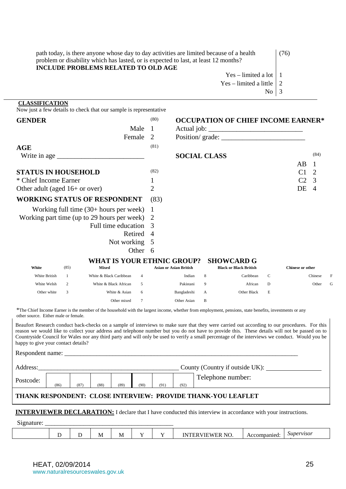| path today, is there anyone whose day to day activities are limited because of a health |
|-----------------------------------------------------------------------------------------|
| problem or disability which has lasted, or is expected to last, at least 12 months?     |
| <b>INCLUDE PROBLEMS RELATED TO OLD AGE</b>                                              |
| $Yes - limited a$                                                                       |

(76)

 $\lceil \cot n \rceil$ 

- Yes limited a little  $\vert$  2
	- $\overline{N_0}$  3

#### **CLASSIFICATION**

Now just a few details to check that our sample is representative

| <b>GENDER</b>                  |      |                                                   |                |                               | (80)<br><b>OCCUPATION OF CHIEF INCOME EARNER*</b> |                                                    |   |                         |                |   |
|--------------------------------|------|---------------------------------------------------|----------------|-------------------------------|---------------------------------------------------|----------------------------------------------------|---|-------------------------|----------------|---|
|                                |      | Male                                              | 1              |                               |                                                   |                                                    |   |                         |                |   |
|                                |      | Female                                            | 2              |                               |                                                   |                                                    |   |                         |                |   |
| <b>AGE</b>                     |      |                                                   | (81)           |                               |                                                   |                                                    |   |                         |                |   |
|                                |      |                                                   |                | <b>SOCIAL CLASS</b>           |                                                   |                                                    |   |                         | (84)           |   |
|                                |      |                                                   |                |                               |                                                   |                                                    |   | AB.                     | 1              |   |
| <b>STATUS IN HOUSEHOLD</b>     |      |                                                   | (82)           |                               |                                                   |                                                    |   | C <sub>1</sub>          | 2              |   |
| * Chief Income Earner          |      |                                                   |                |                               |                                                   |                                                    |   |                         | 3              |   |
| Other adult (aged 16+ or over) |      |                                                   | 2              |                               |                                                   |                                                    |   | DE                      | $\overline{4}$ |   |
|                                |      | <b>WORKING STATUS OF RESPONDENT</b>               |                | (83)                          |                                                   |                                                    |   |                         |                |   |
|                                |      | Working full time (30+ hours per week)            | 1              |                               |                                                   |                                                    |   |                         |                |   |
|                                |      | Working part time (up to 29 hours per week)       |                |                               |                                                   |                                                    |   |                         |                |   |
|                                |      | Full time education 3                             |                |                               |                                                   |                                                    |   |                         |                |   |
|                                |      | Retired                                           | $\overline{4}$ |                               |                                                   |                                                    |   |                         |                |   |
|                                |      | Not working 5                                     |                |                               |                                                   |                                                    |   |                         |                |   |
|                                |      | Other 6                                           |                |                               |                                                   |                                                    |   |                         |                |   |
| White                          | (85) | <b>WHAT IS YOUR ETHNIC GROUP?</b><br><b>Mixed</b> |                | <b>Asian or Asian British</b> |                                                   | <b>SHOWCARD G</b><br><b>Black or Black British</b> |   | <b>Chinese or other</b> |                |   |
| White British                  | 1    | White & Black Caribbean<br>$\overline{4}$         |                | Indian                        | 8                                                 | Caribbean                                          | C |                         | Chinese        | F |
| White Welsh                    | 2    | White & Black African<br>5                        |                | Pakistani                     | 9                                                 | African                                            | D |                         | Other          | G |
| Other white                    | 3    | White & Asian<br>6                                |                | Bangladeshi                   | A                                                 | Other Black                                        | E |                         |                |   |

\*The Chief Income Earner is the member of the household with the largest income, whether from employment, pensions, state benefits, investments or any other source. Either male or female.

Beaufort Research conduct back-checks on a sample of interviews to make sure that they were carried out according to our procedures. For this reason we would like to collect your address and telephone number but you do not have to provide this. These details will not be passed on to Countryside Council for Wales nor any third party and will only be used to verify a small percentage of the interviews we conduct. Would you be happy to give your contact details?

Respondent name:

| Address:                                                                | Country (Country if outside UK): |      |      |      |      |      |      |                   |  |
|-------------------------------------------------------------------------|----------------------------------|------|------|------|------|------|------|-------------------|--|
| Postcode:                                                               | (86)                             | (87) | (88) | (89) | (90) | (91) | (92) | Telephone number: |  |
| THE AILY DECOOMDENTE. OF OCE IMPEDITELY, DOOVIDE THE AILY VOLLE EA ELET |                                  |      |      |      |      |      |      |                   |  |

#### **THANK RESPONDENT: CLOSE INTERVIEW: PROVIDE THANK-YOU LEAFLET**

Other mixed 7 Other Asian B

**INTERVIEWER DECLARATION:** I declare that I have conducted this interview in accordance with your instructions.

 $Signature:$ 

|  |  |  |  | <b>IVI</b> | M |  | $ -$ | $\mathbf{v}$<br>NO<br><b>M</b><br>.<br>י רו<br>. .<br>$\sim$ 15 $\sim$ | nnaniec | visor<br>$\omega$ uper |
|--|--|--|--|------------|---|--|------|------------------------------------------------------------------------|---------|------------------------|
|--|--|--|--|------------|---|--|------|------------------------------------------------------------------------|---------|------------------------|